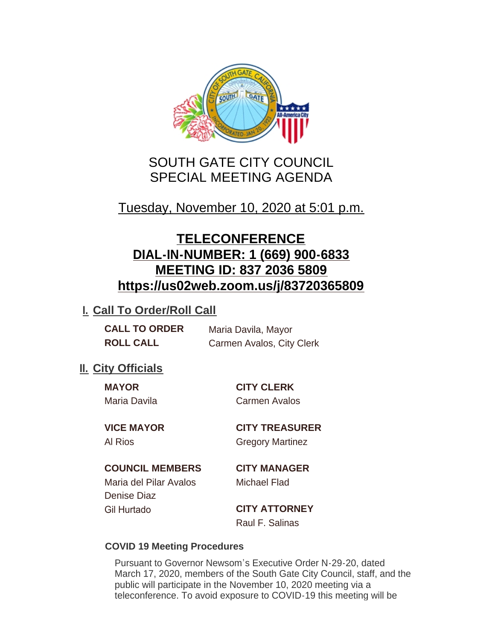

# SOUTH GATE CITY COUNCIL SPECIAL MEETING AGENDA

# Tuesday, November 10, 2020 at 5:01 p.m.

# **TELECONFERENCE DIAL-IN-NUMBER: 1 (669) 900-6833 MEETING ID: 837 2036 5809 https://us02web.zoom.us/j/83720365809**

## **I. Call To Order/Roll Call**

| <b>CALL TO ORDER</b> | Maria Davila, Mayor       |
|----------------------|---------------------------|
| <b>ROLL CALL</b>     | Carmen Avalos, City Clerk |

## **II.** City Officials

**MAYOR CITY CLERK** Maria Davila Carmen Avalos

**VICE MAYOR CITY TREASURER** Al Rios **Gregory Martinez** 

### **COUNCIL MEMBERS CITY MANAGER**

Maria del Pilar Avalos Michael Flad Denise Diaz Gil Hurtado **CITY ATTORNEY**

Raul F. Salinas

### **COVID 19 Meeting Procedures**

Pursuant to Governor Newsom's Executive Order N-29-20, dated March 17, 2020, members of the South Gate City Council, staff, and the public will participate in the November 10, 2020 meeting via a teleconference. To avoid exposure to COVID-19 this meeting will be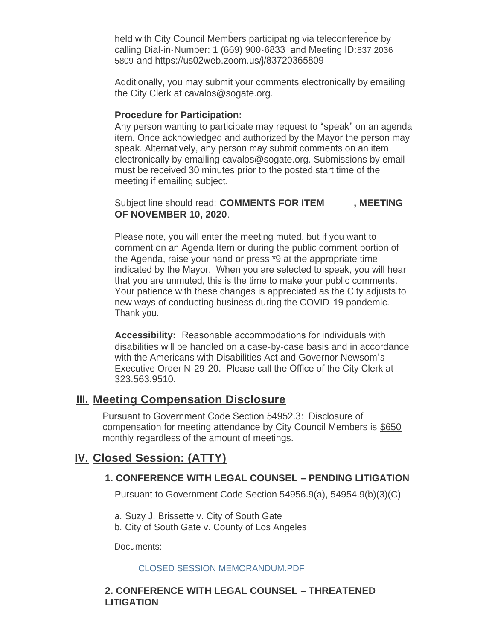teleconference. To avoid exposure to COVID-19 this meeting will be held with City Council Members participating via teleconference by calling Dial-in-Number: 1 (669) 900-6833 and Meeting ID:837 2036 5809 and https://us02web.zoom.us/j/83720365809

Additionally, you may submit your comments electronically by emailing the City Clerk at cavalos@sogate.org.

#### **Procedure for Participation:**

Any person wanting to participate may request to "speak" on an agenda item. Once acknowledged and authorized by the Mayor the person may speak. Alternatively, any person may submit comments on an item electronically by emailing cavalos@sogate.org. Submissions by email must be received 30 minutes prior to the posted start time of the meeting if emailing subject.

Subject line should read: **COMMENTS FOR ITEM \_\_\_\_\_, MEETING OF NOVEMBER 10, 2020**.

Please note, you will enter the meeting muted, but if you want to comment on an Agenda Item or during the public comment portion of the Agenda, raise your hand or press \*9 at the appropriate time indicated by the Mayor. When you are selected to speak, you will hear that you are unmuted, this is the time to make your public comments. Your patience with these changes is appreciated as the City adjusts to new ways of conducting business during the COVID-19 pandemic. Thank you.

**Accessibility:** Reasonable accommodations for individuals with disabilities will be handled on a case-by-case basis and in accordance with the Americans with Disabilities Act and Governor Newsom's Executive Order N-29-20. Please call the Office of the City Clerk at 323.563.9510.

### **Meeting Compensation Disclosure III.**

Pursuant to Government Code Section 54952.3: Disclosure of compensation for meeting attendance by City Council Members is \$650 monthly regardless of the amount of meetings.

## **Closed Session: (ATTY) IV.**

#### **1. CONFERENCE WITH LEGAL COUNSEL – PENDING LITIGATION**

Pursuant to Government Code Section 54956.9(a), 54954.9(b)(3)(C)

- a. Suzy J. Brissette v. City of South Gate
- b. City of South Gate v. County of Los Angeles

Documents:

#### CLOSED SESSION MEMORANDUM.PDF

#### **2. CONFERENCE WITH LEGAL COUNSEL – THREATENED LITIGATION**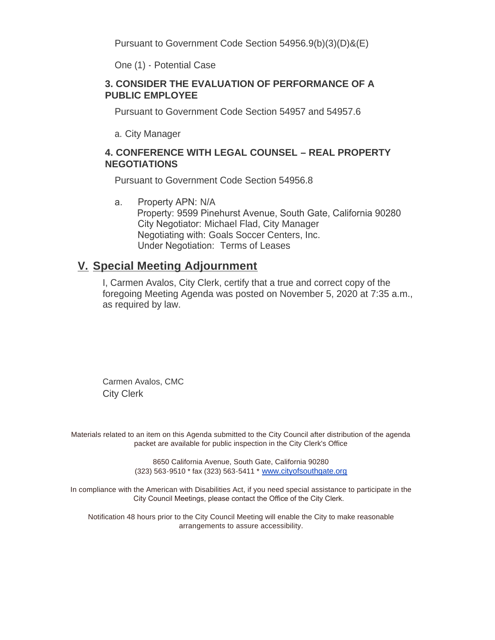Pursuant to Government Code Section 54956.9(b)(3)(D)&(E)

One (1) - Potential Case

#### **3. CONSIDER THE EVALUATION OF PERFORMANCE OF A PUBLIC EMPLOYEE**

Pursuant to Government Code Section 54957 and 54957.6

a. City Manager

#### **4. CONFERENCE WITH LEGAL COUNSEL – REAL PROPERTY NEGOTIATIONS**

Pursuant to Government Code Section 54956.8

a. Property APN: N/A Property: 9599 Pinehurst Avenue, South Gate, California 90280 City Negotiator: Michael Flad, City Manager Negotiating with: Goals Soccer Centers, Inc. Under Negotiation: Terms of Leases

## **Special Meeting Adjournment V.**

I, Carmen Avalos, City Clerk, certify that a true and correct copy of the foregoing Meeting Agenda was posted on November 5, 2020 at 7:35 a.m., as required by law.

Carmen Avalos, CMC City Clerk

Materials related to an item on this Agenda submitted to the City Council after distribution of the agenda packet are available for public inspection in the City Clerk's Office

> 8650 California Avenue, South Gate, California 90280 (323) 563-9510 \* fax (323) 563-5411 \* [www.cityofsouthgate.org](http://www.cityofsouthgate.org/)

In compliance with the American with Disabilities Act, if you need special assistance to participate in the City Council Meetings, please contact the Office of the City Clerk.

Notification 48 hours prior to the City Council Meeting will enable the City to make reasonable arrangements to assure accessibility.